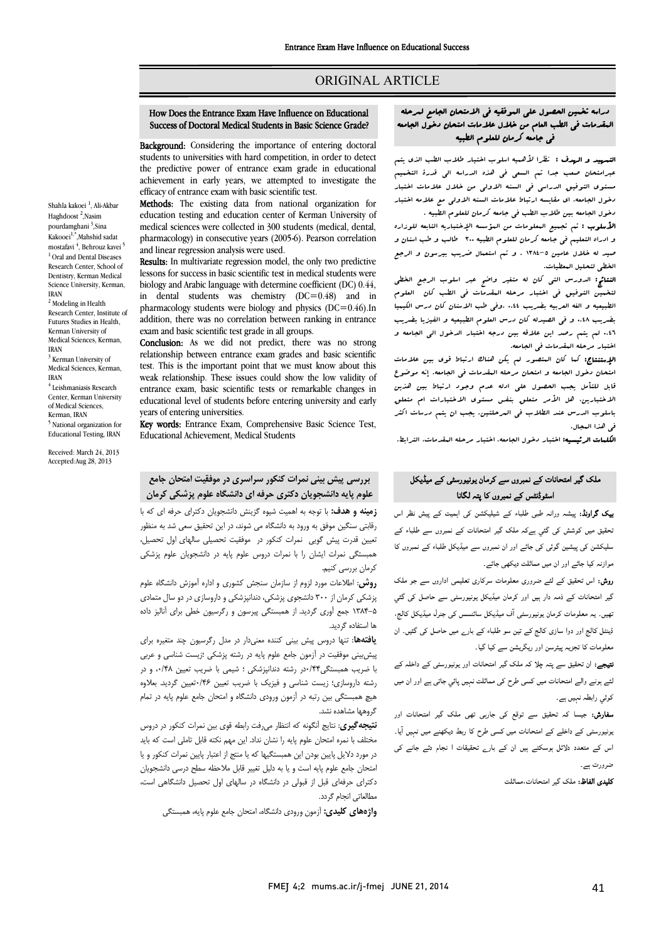### ORIGINAL ARTICLE

# How Does the Entrance Exam Have Influence on Educational Success of Doctoral Medical Students in Basic Science Grade?

Ī  $\overline{a}$ 

**Background:** Considering the importance of entering doctoral **Background**, considering the importance of entering doctoral students to universities with hard competition, in order to detect the predictive power of entrance exam grade in educational achievement in early years, we attempted to investigate the efficacy of entrance exam with basic scientific test.

 Methods: The existing data from national organization for education testing and education center of Kerman University of pharmacology) in consecutive years (2005-6). Pearson correlation medical sciences were collected in 300 students (medical, dental, and linear regression analysis were used.

Results: In multivariate regression model, the only two predictive<br>leaseng for avasces in hesia esistitfic test in modical students were biology and Arabic language with determine coefficient (DC) 0.44, in dental students was chemistry  $(DC=0.48)$  and in addition, there was no correlation between ranking in entrance exam and basic scientific test grade in all groups. lessons for success in basic scientific test in medical students were pharmacology students were biology and physics  $(DC=0.46)$ . In

**Conclusion:** As we did not predict, there was no strong relationship between entrance exam grades and basic scientific test. This is the important point that we must know about this weak relationship. These issues could show the low validity of educational level of students before entering university and early Conclusion: As we did not predict, there was no strong entrance exam, basic scientific tests or remarkable changes in years of entering universities.

**Key words:** Entrance Exam, Comprehensive Basic Science Test, Educational Achievement, Medical Students

 بررسی پیش بینی نمرات کنکور سراسري در موفقیت امتحان جامع علوم پایه دانشجویان دکتري حرفه اي دانشگاه علوم پزشکی کرمان

 زمینه و هدف: با توجه به اهمیت شیوه گزینش دانشجویان دکتراي حرفه اي که با رقابتی سنگین موفق به ورود به دانشگاه می شوند، در این تحقیق سعی شد به منظور تعیین قدرت پیش گویی نمرات کنکور در موفقیت تحصیلی سالهاي اول تحصیل، همبستگی نمرات ایشان را با نمرات دروس علوم پایه در دانشجویان علوم پزشکی<br>پست کرمان بررسی کنیم.

ىرس بررسى سيم.<br>**روش:** اطلاعات مورد لزوم از سازمان سنجش کشورى و اداره آموزش دانشگاه علوم پزشکی کرمان از 300 دانشجوي پزشکی، دندانپزشکی و داروسازي در دو سال متمادي 1384-5 جمع آوري گردید. از همبستگی پیرسون و رگرسیون خطی براي آنالیز داده ها استفاده گردید.

 یافتهها: تنها دروس پیش بینی کننده معنیدار در مدل رگرسیون چند متغیره براي پیشبینی موفقیت در آزمون جامع علوم پایه در رشته پزشکی ؛زیست شناسی و عربی با ضریب همبستگی0/44در رشته دندانپزشکی ؛ شیمی با ضریب تعیین ،0/48 و در w<br>ĭ هیچ همبستگی بین رتبه در آزمون ورودی دانشگاه و امتحان جامع علوم پایه در تمام<br>گیمهها مشاهده نشد رشته داروسازي؛ زیست شناسی و فیزیک با ضریب تعیین 0/46تعیین گردید. بعلاوه گروهها مشاهده نشد.

.<br>ن**تیجه گیری:** نتایج آنگونه که انتظار میرفت رابطه قوی بین نمرات کنکور در دروس مختلف با نمره امتحان علوم پایه را نشان نداد. این مهم نکته قابل تاملی است که باید در مورد دلایل پایین بودن این همبستگیها که یا منتج از اعتبار پایین نمرات کنکور و یا امتحان جامع علوم پایه است و یا به دلیل تغییر قابل ملاحظه سطح درسی دانشجویان دکتراي حرفهاي قبل از قبولی در دانشگاه در سالهاي اول تحصیل دانشگاهی است، مطالعاتی انجام گردد.

**واژههاي کليدي:** آزمون ورودي دانشگاه، امتحان جامع علوم پايه، همبستگي<br>.

## دراسه تخمین الحصول علی الموفقیه فی الامتحان الجامع لمرحله المقدمات فی الطب العام من خلال علامات امتحان دخول الجامعه فی جامعه کرمان للعلوم الطبیه

Ī  $\overline{a}$ 

 التمهید و الهدف : نظرا لأهمیه اسلوب اختیار طلاب الطب الذي یتم عبرامتحان صعب جدا تم السعی فی هذه الدراسه الی قدرة التخمیم مستوي التوفیق الدراسی فی السنه الاولی من خلال علامات اختبار دخول الجامعه، اي مقایسه ارتباط علامات السنه الاولی مع علامه اختبار

 دخول الجامعه بین طلاب الطب فی جامعه کرمان للعلوم الطبیه . استعلیم اسم سالب السوم است کل استحداث الله علی است.<br>و ادراه التعلیم فی جامعه کرمان للعلوم الطبیه ۲۰۰ طالب و طب اسنان و صید له خلال عامین -5 1384 . و تم استعمال ضریب بیرسون و الرجع الخطی لتحلیل المعطیات. الأسلوب : تم تجمیع المعلومات من المؤسسه الإختباریه التابعه للوزاره

 النتائج: الدورس التی کان له متغیر واضح عبر اسلوب الرجع الخطی تنخسین البوفیق فی احتبار مرحله البشدمات فی الصب انان الفلوم<br>الطبیعیه و الغه العربیه بضریب i.16 .وفی طب الاسنان کان درس الکیمیا بضریب 0.48 و فی الصیدله کان درس العلوم الطبیعیه و الفیزیا بضریب 0.46 لم یتم رصد این علاقه بین درجه اختبار الدخول الی الجامعه و اختبار مرحله المقدمات فی الجامعه. لتخمین التوفیق فی اختبار مرحله المقدمات فی الطب کان العلوم

 الإستنتاج: کما کان المتصور لم یکن هناك ارتباط قوي بین علامات سیسین علوی شبکستان کرستان کرستان مستقال کرد.<br>قابل اللتأمل یجب الحصول علی ادله عدم وجود ارتباط بین هذین الاختبارین، هل الأمر متعلق بنفس مستوي الاختبارات ام متعلق باسلوب الدرس عند الطلاب فی المرحلتین. یجب ان یتم درسات اکثر امتحان دخول الجامعه و امتحان مرحله المقدمات فی الجامعه. إنه موضوع فی هذا المجال.

ا**لکلمات الرئیسیه:** اختبار دخول الجامعه، اختبار مرحله العقدمات، الترابط.<br>-

## ملک گیر امتحانات کے نمبروں سے کرمان یونیور*سٹی* کے میڈیکل اسٹوڈنٹس کے نمبروں کا پتہ لگانا

**یک گراونڈ:** پیشہ ورانہ طبی طلباء کے شیلیکشن کی اہمیت کے پیش نظر اس ۔<br>نحقیق میں کوشش کی گئي ٻےکہ ملک گیر امتحانات کے نمبروں سے طلباء کے ۔<br>سلیکشن کی پیشین گوئی کی جائے اور ان نمبروں سے میڈیکل طلباء کے نمبروں کا <sub>موازنہ</sub> کیا جائے اور ان میں مماثلت دیکھی جائے۔

ر**وش:** اس تحقیق کے لئے ضروری معلومات سرکاری تعلیمی اداروں سے جو ملک گیر امتحانات کے ذمہ دار ہیں اور کرمان میڈیکل یونیورسٹی سے حاصل کی گئي ۔<br>بھیں۔ یہ معلومات کرمان یونیورسٹی آف میڈیکل سائنسس کی جنرل میڈیکل کالج، ے<br>ڈینٹل کالج اور دوا سازی کالج کے تین سو طلباء کے بار<sub>ے</sub> میں حاصل کی گئیں۔ ان ۔ سے سے سے سے سے سے سے سے سے سے کیا گیا۔<br>معلومات کا تجزیہ پیئرسن اور ریگریشن سے کیا گیا۔

۔ ہمیں کا معدل کے مطابق کے مطابق ہے۔<br>**تیجے:** ان تحقیق سے پتہ چلا کہ ملک گیر امتحانات اور یونیورسٹی کے داخلہ کے j ئئے ہونے والے امتحانات میں کسی طرح کی مماثلت نہیں پائي جاتی ہے اور ان میں<br>۔ ۔ ۔ ۔ ۔ ۔ J کوئي رابطہ نہیں ہے۔

**سفارش:** جیسا کہ تحقیق سے توقع کی جار<sub>ہ</sub>ی تھی ملک گیر امتحانات اور<br>مس**فارش:** بونیورسٹی کے داخلے کے امتحانات میں کس*ی طرح* کا ربط دیکھنے میں نہیں آیا۔<br>۔ اس کے متعدد دلائل ہوسکتے ہیں ان کے بار<sub>ے</sub> تحقیقات ا نجام دئے جانے کی<br>۔ ضرورت ہے۔

**کلیدی الفاظ:** ملک گیر امتحانات،مماثلت<br>.

Shahla kakoei <sup>1</sup>, Ali-Akbar Haghdoost<sup>2</sup>,Nasim pourdamghani <sup>3</sup>,Sina Kakooei<sup>1,\*</sup>,Mahshid sadat mostafavi <sup>4</sup>, Behrouz kavei <sup>5</sup> <sup>1</sup> Oral and Dental Diseases Research Center, School of Dentistry, Kerman Medical Science University, Kerman, IRAN

<sup>2</sup> Modeling in Health Research Center, Institute of Futures Studies in Health, Kerman University of Medical Sciences, Kerman, IRAN <sup>3</sup> Kerman University of

Medical Sciences, Kerman, IRAN

<sup>4</sup> Leishmaniasis Research Center, Kerman University of Medical Sciences, Kerman, IRAN <sup>5</sup> National organization for

Educational Testing, IRAN Received: March 24, 2013 Accepted:Aug 28, 2013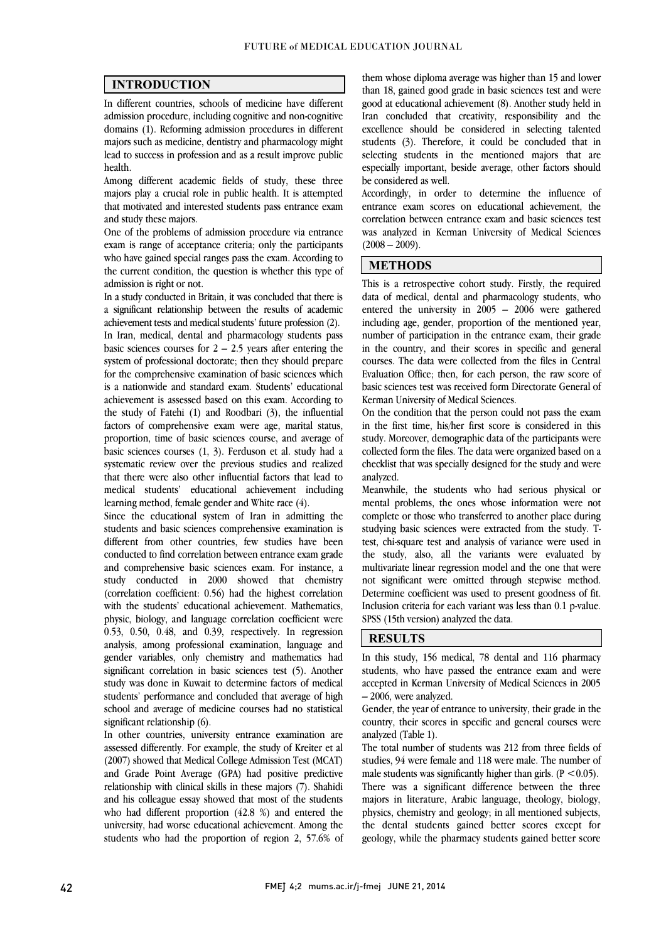$\overline{a}$  $\overline{a}$ 

#### INTRODUCTION

 In different countries, schools of medicine have different admission procedure, including cognitive and non-cognitive majors such as medicine, dentistry and pharmacology might lead to success in profession and as a result improve public domains (1). Reforming admission procedures in different health.

 Among different academic fields of study, these three that motivated and interested students pass entrance exam majors play a crucial role in public health. It is attempted and study these majors.

 One of the problems of admission procedure via entrance exam is range of acceptance criteria; only the participants the current condition, the question is whether this type of who have gained special ranges pass the exam. According to admission is right or not.

 In a study conducted in Britain, it was concluded that there is a significant relationship between the results of academic<br>children probability of the results of the results (2) In Iran, medical, dental and pharmacology students pass basic sciences courses for  $2 - 2.5$  years after entering the system of professional doctorate; then they should prepare ior the comprenensive examination or basic sciences which<br>is a nationwide and standard exam. Students' educational achievement is assessed based on this exam. According to the study of Fatehi (1) and Roodbari (3), the influential factors of comprehensive exam were age, marital status, basic sciences courses (1, 3). Ferduson et al. study had a systematic review over the previous studies and realized that there were also other influential factors that lead to medical students' educational achievement including achievement tests and medical students' future profession (2). for the comprehensive examination of basic sciences which proportion, time of basic sciences course, and average of learning method, female gender and White race (4).

Since the educational system of Iran in admitting the students and basic sciences comprehensive examination is different from other countries, few studies have been conducted to find correlation between entrance exam grade study conducted in 2000 showed that chemistry (correlation coefficient: 0.56) had the highest correlation with the students' educational achievement. Mathematics, physic, biology, and language correlation coefficient were<br>0.53, 0.50, 0.48, and 0.39, respectively. In regression analysis, among professional examination, language and gender variables, only chemistry and mathematics had significant correlation in basic sciences test (5). Another study was done in Kuwait to determine factors of medical<br>students' performance and concluded that average of high school and average of medicine courses had no statistical and comprehensive basic sciences exam. For instance, a physic, biology, and language correlation coefficient were study was done in Kuwait to determine factors of medical significant relationship (6).

In other countries, university entrance examination are (2007) showed that Medical College Admission Test (MCAT) and Grade Point Average (GPA) had positive predictive relationship with clinical skills in these majors (7). Shahidi and his colleague essay showed that most of the students university, had worse educational achievement. Among the students who had the proportion of region 2, 57.6% of assessed differently. For example, the study of Kreiter et al who had different proportion (42.8 %) and entered the

 than 18, gained good grade in basic sciences test and were good at educational achievement (8). Another study held in Iran concluded that creativity, responsibility and the students (3). Therefore, it could be concluded that in selecting students in the mentioned majors that are especially important, beside average, other factors should them whose diploma average was higher than 15 and lower excellence should be considered in selecting talented be considered as well.

 Accordingly, in order to determine the influence of entrance exam scores on educational achievement, the correlation between entrance exam and basic sciences test was analyzed in Kerman University of Medical Sciences  $\overline{a}$  $(2008 - 2009)$ .

 $\overline{a}$ 

 $\overline{a}$ 

### METHODS

 This is a retrospective cohort study. Firstly, the required data of medical, dental and pharmacology students, who including age, gender, proportion of the mentioned year, number of participation in the entrance exam, their grade in the country, and their scores in specific and general courses. The data were collected from the files in Central basic sciences test was received form Directorate General of entered the university in 2005 – 2006 were gathered Evaluation Office; then, for each person, the raw score of Kerman University of Medical Sciences.

 On the condition that the person could not pass the exam in the first time, his/her first score is considered in this collected form the files. The data were organized based on a checklist that was specially designed for the study and were study. Moreover, demographic data of the participants were analyzed.

 Meanwhile, the students who had serious physical or complete or those who transferred to another place during studying basic sciences were extracted from the study. T- test, chi-square test and analysis of variance were used in the study, also, all the variants were evaluated by<br>multivariate linear recreasion model and the one that were not significant were omitted through stepwise method. Determine coefficient was used to present goodness of fit. Inclusion criteria for each variant was less than 0.1 p-value.  $\overline{\phantom{0}}$ mental problems, the ones whose information were not multivariate linear regression model and the one that were SPSS (15th version) analyzed the data.

#### RESULTS

 In this study, 156 medical, 78 dental and 116 pharmacy students, who have passed the entrance exam and were accepted in Kerman University of Medical Sciences in 2005<br>2006 were analyzed – 2006, were analyzed.

 Gender, the year of entrance to university, their grade in the country, their scores in specific and general courses were analyzed (Table 1).

analyzed (1able 1).<br>The total number of students was 212 from three fields of studies, 94 were female and 118 were male. The number of male students was significantly higher than girls.  $(P < 0.05)$ . There was a significant difference between the three majors in literature, Arabic language, theology, biology, the dental students gained better scores except for geology, while the pharmacy students gained better score physics, chemistry and geology; in all mentioned subjects,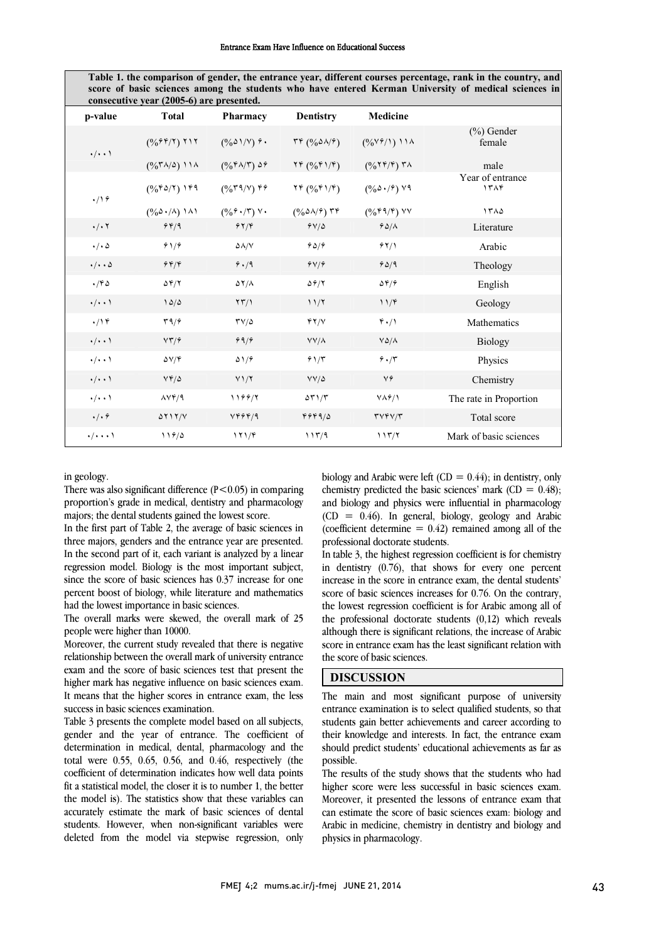Table 1. the comparison of gender, the entrance year, different courses percentage, rank in the country, and score of basic sciences among the students who have entered Kerman University of medical sciences in consecutive year (2005-6) are presented.

| p-value                   | <b>Total</b>                           | <b>Pharmacy</b>                                           | <b>Dentistry</b>                                                                    | <b>Medicine</b>               |                          |
|---------------------------|----------------------------------------|-----------------------------------------------------------|-------------------------------------------------------------------------------------|-------------------------------|--------------------------|
| $\cdot/\cdot\cdot$        | $($ %۶۴/۲) ۲۱۲                         | $(\frac{0}{0} \delta \frac{\lambda}{\lambda})^{\gamma}$ ? | $\mathcal{F} \mathcal{F} \left( \frac{0}{0} \Delta \mathcal{N} \mathcal{F} \right)$ |                               | $(\%)$ Gender<br>female  |
|                           | $(0/67)/(2)$ ) ) ) $\land$             | $(%^{\beta}\Lambda/\Upsilon)$ $\Delta \hat{r}$            | YF(0/6F)/F)                                                                         | $($ %۲۴/۴) ۳۸                 | male                     |
| $\cdot$ /19               | $(0/66)$ 149                           | $($ %۳۹/۷) ۴۶                                             | YF(96f1/F)                                                                          | $(0/60 \cdot 7)$ $19$         | Year of entrance<br>١٣٨۴ |
|                           | $(0/60 \cdot / \Lambda)$ 1 $\Lambda$ 1 | $(\frac{9}{6}\hat{r}\cdot/\hat{r})$ Y.                    | $(%$ $\Delta$ $\lambda$ / $\hat{r}$ ) ۳۴                                            | $($ %۴۹/۴) $\vee$             | ١٣٨٥                     |
| $\cdot/\cdot$ $\cdot$     | 949                                    | 97/9                                                      | 94/0                                                                                | 90/1                          | Literature               |
| $\cdot/\cdot \Delta$      | 91/9                                   | $\Delta \Lambda/V$                                        | 90/9                                                                                | 71/1                          | Arabic                   |
| $\cdot/\cdot\cdot \Delta$ | 949                                    | 9.19                                                      | $9 \sqrt{9}$                                                                        | 90/9                          | Theology                 |
| .780                      | $\Delta \mathcal{F}/\mathcal{Y}$       | $\Delta Y/\Lambda$                                        | $\Delta \hat{r}/\Upsilon$                                                           | $\Delta \mathfrak{r}/\hat{r}$ | English                  |
| $\cdot/\cdot\cdot$        | 10/0                                   | $\langle \uparrow \uparrow / \rangle$                     | 11/7                                                                                | 11/F                          | Geology                  |
| $\cdot$ /14               | $\mathbf{r}\mathbf{9}/\mathbf{9}$      | $\mathsf{TV}/\Delta$                                      | YY/Y                                                                                | 4.7                           | Mathematics              |
| $\cdot/\cdot\cdot$        | VT/5                                   | 99/                                                       | $YY/\lambda$                                                                        | $V\Delta/\Lambda$             | <b>Biology</b>           |
| $\cdot/\cdot\cdot$        | $\Delta V/F$                           | $\Delta$ 1/9                                              | 91/5                                                                                | 9.7                           | Physics                  |
| $\cdot/\cdot\cdot$        | $Vf/\Delta$                            | $Y1/\Upsilon$                                             | $VV/\Delta$                                                                         | ٧۶                            | Chemistry                |
| $\cdot/\cdot\cdot$        | $\Lambda V \mathfrak{f}/\mathfrak{q}$  | 1199/7                                                    | $\Delta \Upsilon$ ) / $\Upsilon$                                                    | $V\Lambda\hat{r}/V$           | The rate in Proportion   |
| $\cdot/\cdot$ $\hat{r}$   | $\Delta Y$ $\frac{1}{\sqrt{2}}$        | VFFF/9                                                    | 494915                                                                              | TVTY/T                        | Total score              |
| $\cdot/\cdot\cdot\cdot$   | 119/0                                  | 171/F                                                     | 117/9                                                                               | 117/7                         | Mark of basic sciences   |

in geology.

There was also significant difference  $(P<0.05)$  in comparing proportion's grade in medical, dentistry and pharmacology<br>majors: the dental students gained the lowest score majors; the dental students gained the lowest score.

 In the first part of Table 2, the average of basic sciences in three majors, genders and the entrance year are presented. In the second part of it, each variant is analyzed by a linear since the score of basic sciences has 0.37 increase for one percent boost of biology, while literature and mathematics regression model. Biology is the most important subject, had the lowest importance in basic sciences.

 The overall marks were skewed, the overall mark of 25 people were higher than 10000.

Moreover, the current study revealed that there is negative relationship between the overall mark of university entrance exam and the score of basic sciences test that present the It means that the higher scores in entrance exam, the less higher mark has negative influence on basic sciences exam. success in basic sciences examination.

 Table 3 presents the complete model based on all subjects, gender and the year of entrance. The coefficient of total were 0.55, 0.65, 0.56, and 0.46, respectively (the coefficient of determination indicates how well data points fit a statistical model, the closer it is to number 1, the better the model is). The statistics show that these variables can students. However, when non-significant variables were deleted from the model via stepwise regression, only determination in medical, dental, pharmacology and the accurately estimate the mark of basic sciences of dental

biology and Arabic were left  $(CD = 0.44)$ ; in dentistry, only cnemistry predicted the basic sciences mark  $(CD = 0.48)$ ;<br>and biology and physics were influential in pharmacology  $(CD = 0.46)$ . In general, biology, geology and Arabic (coefficient determine  $= 0.42$ ) remained among all of the chemistry predicted the basic sciences' mark  $(CD = 0.48)$ ; professional doctorate students.

 in dentistry (0.76), that shows for every one percent  $\frac{1}{2}$  increase in the score in entrance exam, the dental students' score of basic sciences increases for 0.76. On the contrary, the lowest regression coefficient is for Arabic among all of although there is significant relations, the increase of Arabic score in entrance exam has the least significant relation with In table 3, the highest regression coefficient is for chemistry the professional doctorate students (0,12) which reveals the score of basic sciences.

#### DISCUSSION

 The main and most significant purpose of university entrance examination is to select qualified students, so that students gain better achievements and career according to their knowledge and interests. In fact, the entrance exam should predict students' educational achievements as far as possible.

The results of the study shows that the students who had higher score were less successful in basic sciences exam. Moreover, it presented the lessons of entrance exam that Arabic in medicine, chemistry in dentistry and biology and can estimate the score of basic sciences exam: biology and physics in pharmacology.

٦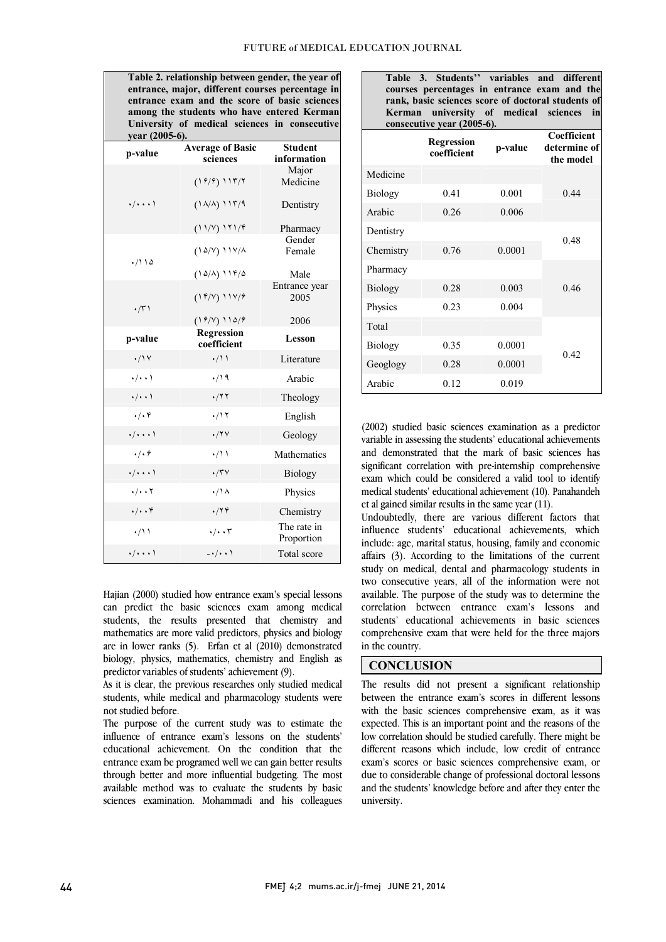entrance exam and the score of basic sciences University of medical sciences in consecutive  $\overline{a}$  I l j ī I I ī l  $\overline{a}$ among the students who have entered Kerman year (2005-6). Student information Average of Basic p-value Average of E Major Medicine Dentistry Pharmacy (١۶/۶) ١١٣/٢ (١٨/٨) ١١٣/٩ (١١/٧) ١٢١/۴ ٠/٠٠٠١ Gender Female Male (١۵/٧) ١١٧/٨ (١۵/٨) ١١۴/۵ ٠/١١۵ Entrance year 2005 2006 (١۴/٧) ١١٧/۶ (١۶/٧) ١١۵/۶ ٠/٣١ Regression Lesson p-value regression ۰/۱۷  $\cdot$ /۱۱ Literature  $\cdot/\cdot$  .  $\cdot/\cdot$  Arabic ٠/٠٠١ ٠/٢٢ Theology  $\cdot/\cdot$ ۴  $\cdot/\cdot$   $\cdot/\cdot$  English ٠/٠٠٠١ ٠/٢٧ Geology ٠/٠۶ ٠/١١ Mathematics  $\cdot/\cdot\cdot$  .  $\cdot/\tau$  Biology  $\cdot/\cdot \cdot$   $\cdot/\cdot \wedge$  Physics ٠/٠٠۴ ٠/٢۴ Chemistry The rate in ۰/۱۱ ۰/۰۰۳ The rate in<br>Proportion ٠/٠٠٠١ -٠/٠٠١ Total score

 Table 2. relationship between gender, the year of entrance, major, different courses percentage in

 Hajian (2000) studied how entrance exam's special lessons can predict the basic sciences exam among medical students, the results presented that chemistry and are in lower ranks (5). Erfan et al (2010) demonstrated biology, physics, mathematics, chemistry and English as mathematics are more valid predictors, physics and biology predictor variables of students' achievement (9).

 As it is clear, the previous researches only studied medical students, while medical and pharmacology students were<br>not studied before not studied before.

 The purpose of the current study was to estimate the influence of entrance exam's lessons on the students' educational achievement. On the condition that the through better and more influential budgeting. The most available method was to evaluate the students by basic sciences examination. Mohammadi and his colleagues entrance exam be programed well we can gain better results  Table 3. Students'' variables and different courses percentages in entrance exam and the rank, basic sciences score of doctoral students of Kerman university of medical sciences in<br>consecutive.vear(2005-6).  $\cos(2005)$ 

|                | <b>Regression</b><br>coefficient | p-value | Coefficient<br>determine of<br>the model |  |
|----------------|----------------------------------|---------|------------------------------------------|--|
| Medicine       |                                  |         |                                          |  |
| <b>Biology</b> | 0.41                             | 0.001   | 0.44                                     |  |
| Arabic         | 0.26                             | 0.006   |                                          |  |
| Dentistry      |                                  |         | 0.48                                     |  |
| Chemistry      | 0.76                             | 0.0001  |                                          |  |
| Pharmacy       |                                  |         |                                          |  |
| <b>Biology</b> | 0.28                             | 0.003   | 0.46                                     |  |
| Physics        | 0.23                             | 0.004   |                                          |  |
| Total          |                                  |         |                                          |  |
| <b>Biology</b> | 0.35                             | 0.0001  |                                          |  |
| Geoglogy       | 0.28                             | 0.0001  | 0.42                                     |  |
| Arabic         | 0.12                             | 0.019   |                                          |  |

 (2002) studied basic sciences examination as a predictor variable in assessing the students educational achievements<br>and demonstrated that the mark of basic sciences has significant correlation with pre-internship comprehensive exam which could be considered a valid tool to identify medical students' educational achievement (10). Panahandeh variable in assessing the students' educational achievements et al gained similar results in the same year (11).

 Undoubtedly, there are various different factors that influence students' educational achievements, which include: age, marital status, housing, family and economic affairs (3). According to the limitations of the current two consecutive years, all of the information were not available. The purpose of the study was to determine the correlation between entrance exam's lessons and students' educational achievements in basic sciences comprehensive exam that were held for the three majors<br>in the country study on medical, dental and pharmacology students in in the country.

> j  $\overline{a}$

### **CONCLUSION**

 The results did not present a significant relationship with the basic sciences comprehensive exam, as it was expected. This is an important point and the reasons of the low correlation should be studied carefully. There might be different reasons which include, low credit of entrance due to considerable change of professional doctoral lessons and the students' knowledge before and after they enter the between the entrance exam's scores in different lessons exam's scores or basic sciences comprehensive exam, or university.